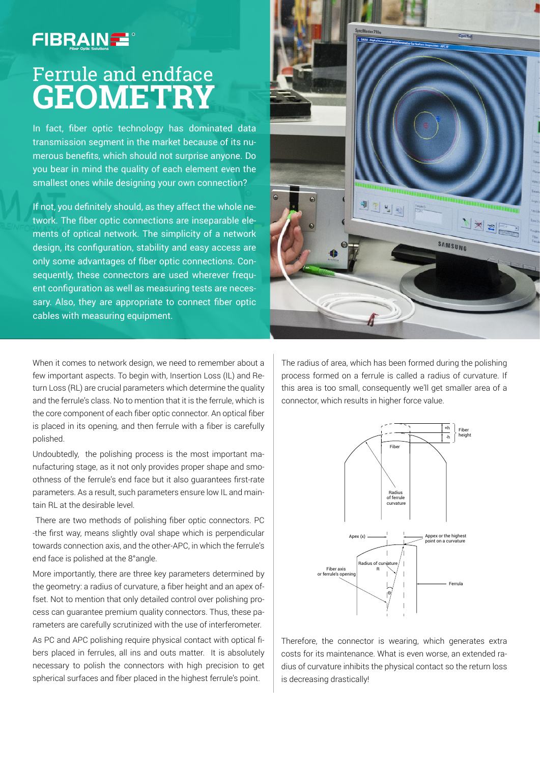## **FIBRAINE**

## Ferrule and endface **Geometry**

In fact, fiber optic technology has dominated data transmission segment in the market because of its numerous benefits, which should not surprise anyone. Do you bear in mind the quality of each element even the smallest ones while designing your own connection?

If not, you definitely should, as they affect the whole network. The fiber optic connections are inseparable elements of optical network. The simplicity of a network design, its configuration, stability and easy access are only some advantages of fiber optic connections. Consequently, these connectors are used wherever frequent configuration as well as measuring tests are necessary. Also, they are appropriate to connect fiber optic cables with measuring equipment.

When it comes to network design, we need to remember about a few important aspects. To begin with, Insertion Loss (IL) and Return Loss (RL) are crucial parameters which determine the quality and the ferrule's class. No to mention that it is the ferrule, which is the core component of each fiber optic connector. An optical fiber is placed in its opening, and then ferrule with a fiber is carefully polished.

Undoubtedly, the polishing process is the most important manufacturing stage, as it not only provides proper shape and smoothness of the ferrule's end face but it also guarantees first-rate parameters. As a result, such parameters ensure low IL and maintain RL at the desirable level.

 There are two methods of polishing fiber optic connectors. PC -the first way, means slightly oval shape which is perpendicular towards connection axis, and the other-APC, in which the ferrule's end face is polished at the 8°angle.

More importantly, there are three key parameters determined by the geometry: a radius of curvature, a fiber height and an apex offset. Not to mention that only detailed control over polishing process can guarantee premium quality connectors. Thus, these parameters are carefully scrutinized with the use of interferometer.

As PC and APC polishing require physical contact with optical fibers placed in ferrules, all ins and outs matter. It is absolutely necessary to polish the connectors with high precision to get spherical surfaces and fiber placed in the highest ferrule's point.



The radius of area, which has been formed during the polishing process formed on a ferrule is called a radius of curvature. If this area is too small, consequently we'll get smaller area of a connector, which results in higher force value.



Therefore, the connector is wearing, which generates extra costs for its maintenance. What is even worse, an extended radius of curvature inhibits the physical contact so the return loss is decreasing drastically!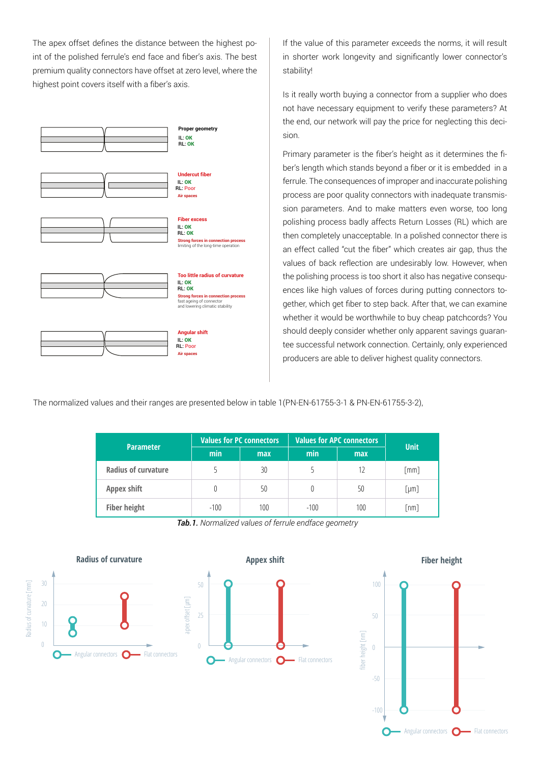The apex offset defines the distance between the highest point of the polished ferrule's end face and fiber's axis. The best premium quality connectors have offset at zero level, where the highest point covers itself with a fiber's axis.



If the value of this parameter exceeds the norms, it will result in shorter work longevity and significantly lower connector's stability!

Is it really worth buying a connector from a supplier who does not have necessary equipment to verify these parameters? At the end, our network will pay the price for neglecting this decision.

Primary parameter is the fiber's height as it determines the fiber's length which stands beyond a fiber or it is embedded in a ferrule. The consequences of improper and inaccurate polishing process are poor quality connectors with inadequate transmission parameters. And to make matters even worse, too long polishing process badly affects Return Losses (RL) which are then completely unacceptable. In a polished connector there is an effect called "cut the fiber" which creates air gap, thus the values of back reflection are undesirably low. However, when the polishing process is too short it also has negative consequences like high values of forces during putting connectors together, which get fiber to step back. After that, we can examine whether it would be worthwhile to buy cheap patchcords? You should deeply consider whether only apparent savings guarantee successful network connection. Certainly, only experienced producers are able to deliver highest quality connectors.

The normalized values and their ranges are presented below in table 1(PN-EN-61755-3-1 & PN-EN-61755-3-2),

| <b>Parameter</b>           | <b>Values for PC connectors</b> |            | <b>Values for APC connectors</b> |            | <b>Unit</b> |
|----------------------------|---------------------------------|------------|----------------------------------|------------|-------------|
|                            | min                             | <b>max</b> | min                              | <b>max</b> |             |
| <b>Radius of curvature</b> |                                 | 30         | 5                                | 12         | [mm]        |
| Appex shift                | $^{(1)}$                        | 50         | 0                                | 50         | [µm]        |
| <b>Fiber height</b>        | $-100$                          | 100        | $-100$                           | 100        | [nm]        |

*Tab.1. Normalized values of ferrule endface geometry*